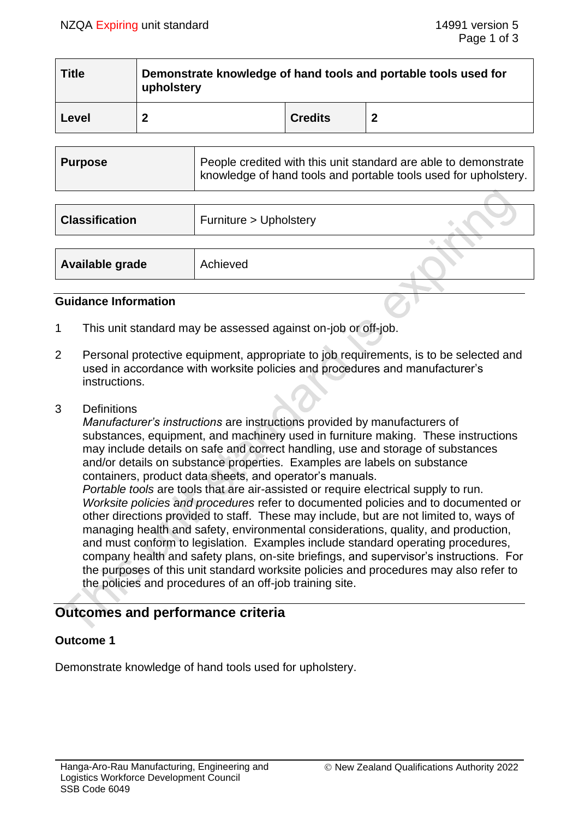| <b>Title</b> | Demonstrate knowledge of hand tools and portable tools used for<br>upholstery |                |   |  |
|--------------|-------------------------------------------------------------------------------|----------------|---|--|
| Level        |                                                                               | <b>Credits</b> | 2 |  |

| Purpose | People credited with this unit standard are able to demonstrate<br>  knowledge of hand tools and portable tools used for upholstery. |
|---------|--------------------------------------------------------------------------------------------------------------------------------------|
|         |                                                                                                                                      |

| <b>Classification</b> | Furniture > Upholstery |  |
|-----------------------|------------------------|--|
|                       |                        |  |
| Available grade       | Achieved               |  |
|                       |                        |  |

#### **Guidance Information**

- 1 This unit standard may be assessed against on-job or off-job.
- 2 Personal protective equipment, appropriate to job requirements, is to be selected and used in accordance with worksite policies and procedures and manufacturer's instructions.
- 3 Definitions

*Manufacturer's instructions* are instructions provided by manufacturers of substances, equipment, and machinery used in furniture making. These instructions may include details on safe and correct handling, use and storage of substances and/or details on substance properties. Examples are labels on substance containers, product data sheets, and operator's manuals.

*Portable tools* are tools that are air-assisted or require electrical supply to run. *Worksite policies and procedures* refer to documented policies and to documented or other directions provided to staff. These may include, but are not limited to, ways of managing health and safety, environmental considerations, quality, and production, and must conform to legislation. Examples include standard operating procedures, company health and safety plans, on-site briefings, and supervisor's instructions. For the purposes of this unit standard worksite policies and procedures may also refer to the policies and procedures of an off-job training site.

# **Outcomes and performance criteria**

## **Outcome 1**

Demonstrate knowledge of hand tools used for upholstery.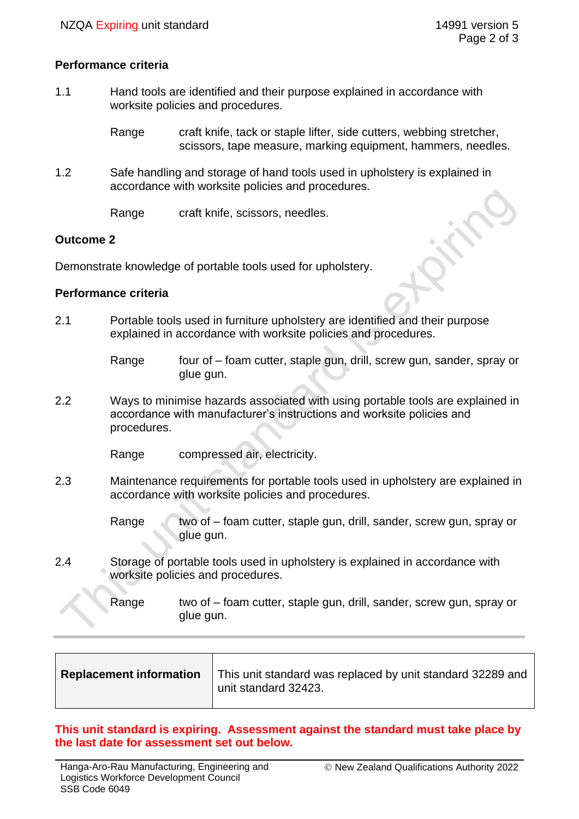### **Performance criteria**

1.1 Hand tools are identified and their purpose explained in accordance with worksite policies and procedures.

> Range craft knife, tack or staple lifter, side cutters, webbing stretcher, scissors, tape measure, marking equipment, hammers, needles,

1.2 Safe handling and storage of hand tools used in upholstery is explained in accordance with worksite policies and procedures.

Range craft knife, scissors, needles.

#### **Outcome 2**

Demonstrate knowledge of portable tools used for upholstery.

#### **Performance criteria**

2.1 Portable tools used in furniture upholstery are identified and their purpose explained in accordance with worksite policies and procedures.

> Range four of – foam cutter, staple gun, drill, screw gun, sander, spray or glue gun.

2.2 Ways to minimise hazards associated with using portable tools are explained in accordance with manufacturer's instructions and worksite policies and procedures.

Range compressed air, electricity.

- 2.3 Maintenance requirements for portable tools used in upholstery are explained in accordance with worksite policies and procedures.
	- Range  $\sqrt{\phantom{a}}$  two of foam cutter, staple gun, drill, sander, screw gun, spray or glue gun.
- 2.4 Storage of portable tools used in upholstery is explained in accordance with worksite policies and procedures.

Range two of – foam cutter, staple gun, drill, sander, screw gun, spray or glue gun.

| <b>Replacement information</b> | This unit standard was replaced by unit standard 32289 and<br>unit standard 32423. |
|--------------------------------|------------------------------------------------------------------------------------|
|                                |                                                                                    |

**This unit standard is expiring. Assessment against the standard must take place by the last date for assessment set out below.**